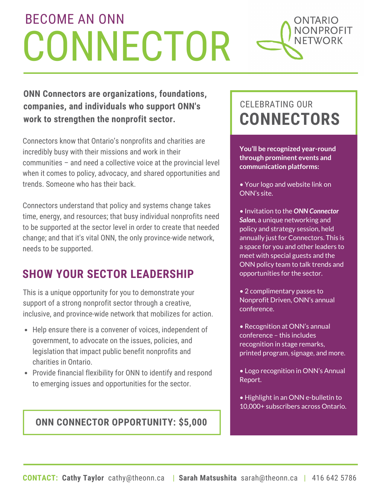### BECOME AN ONN ONTARIO **NONPROFIT CONNECTOR** NFTWORK

**ONN Connectors are organizations, foundations, companies, and individuals who support ONN's work to strengthen the nonprofit sector.**

Connectors know that Ontario's nonprofits and charities are incredibly busy with their missions and work in their communities – and need a collective voice at the provincial level when it comes to policy, advocacy, and shared opportunities and trends. Someone who has their back.

Connectors understand that policy and systems change takes time, energy, and resources; that busy individual nonprofits need to be supported at the sector level in order to create that needed change; and that it's vital ONN, the only province-wide network, needs to be supported.

## **SHOW YOUR SECTOR LEADERSHIP**

This is a unique opportunity for you to demonstrate your support of a strong nonprofit sector through a creative, inclusive, and province-wide network that mobilizes for action.

- Help ensure there is a convener of voices, independent of government, to advocate on the issues, policies, and legislation that impact public benefit nonprofits and charities in Ontario.
- Provide financial flexibility for ONN to identify and respond to emerging issues and opportunities for the sector.

### **ONN CONNECTOR OPPORTUNITY: \$5,000**

# CELEBRATING OUR **CONNECTORS**

**You'll be recognized year-round through prominent events and communication platforms:**

- Your logo and website link on ONN's site.
- Invitation to the *ONN Connector Salon*, a unique networking and policy and strategy session, held annually just for Connectors. This is a space for you and other leaders to meet with special guests and the ONN policy team to talk trends and opportunities for the sector.
- 2 complimentary passes to Nonprofit Driven, ONN's annual conference.
- Recognition at ONN's annual conference – this includes recognition in stage remarks, printed program, signage, and more.
- Logo recognition in ONN's Annual Report.
- Highlight in an ONN e-bulletin to 10,000+ subscribers across Ontario.